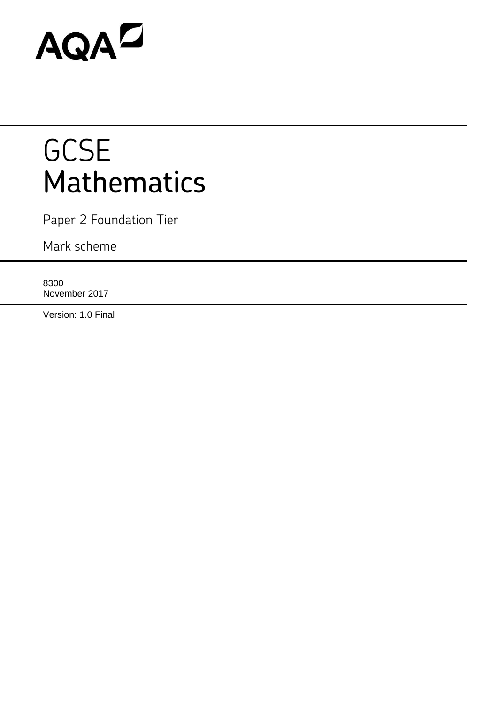# AQAD

# **GCSE** Mathematics

Paper 2 Foundation Tier

Mark scheme

8300 November 2017

Version: 1.0 Final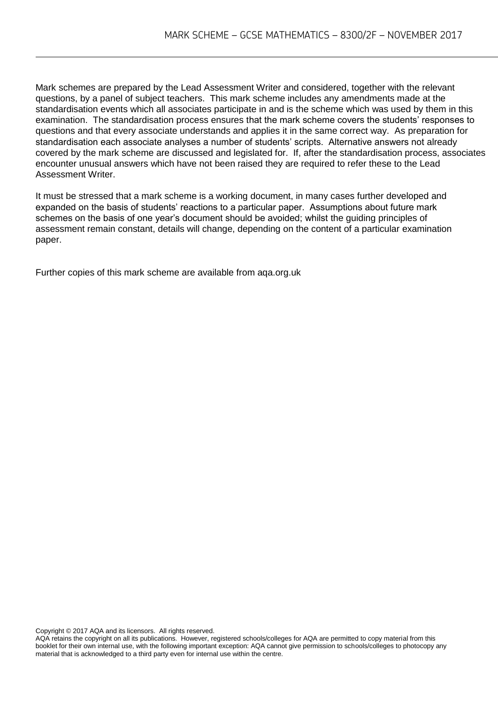Mark schemes are prepared by the Lead Assessment Writer and considered, together with the relevant questions, by a panel of subject teachers. This mark scheme includes any amendments made at the standardisation events which all associates participate in and is the scheme which was used by them in this examination. The standardisation process ensures that the mark scheme covers the students' responses to questions and that every associate understands and applies it in the same correct way. As preparation for standardisation each associate analyses a number of students' scripts. Alternative answers not already covered by the mark scheme are discussed and legislated for. If, after the standardisation process, associates encounter unusual answers which have not been raised they are required to refer these to the Lead Assessment Writer.

It must be stressed that a mark scheme is a working document, in many cases further developed and expanded on the basis of students' reactions to a particular paper. Assumptions about future mark schemes on the basis of one year's document should be avoided; whilst the guiding principles of assessment remain constant, details will change, depending on the content of a particular examination paper.

Further copies of this mark scheme are available from aqa.org.uk

Copyright © 2017 AQA and its licensors. All rights reserved.

AQA retains the copyright on all its publications. However, registered schools/colleges for AQA are permitted to copy material from this booklet for their own internal use, with the following important exception: AQA cannot give permission to schools/colleges to photocopy any material that is acknowledged to a third party even for internal use within the centre.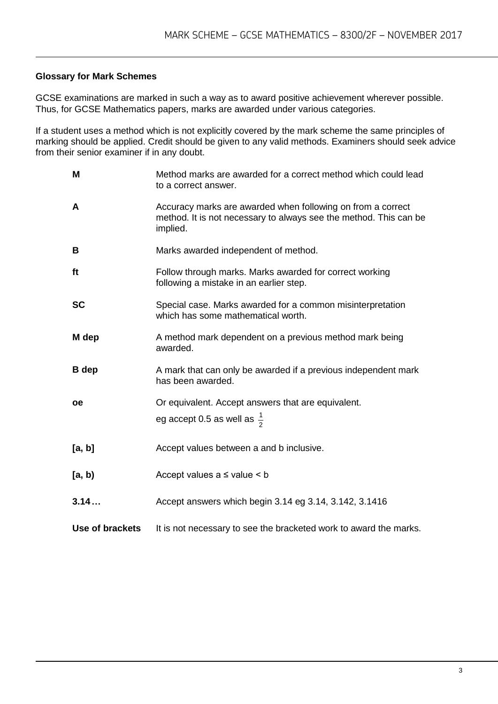#### **Glossary for Mark Schemes**

GCSE examinations are marked in such a way as to award positive achievement wherever possible. Thus, for GCSE Mathematics papers, marks are awarded under various categories.

If a student uses a method which is not explicitly covered by the mark scheme the same principles of marking should be applied. Credit should be given to any valid methods. Examiners should seek advice from their senior examiner if in any doubt.

| M                      | Method marks are awarded for a correct method which could lead<br>to a correct answer.                                                       |
|------------------------|----------------------------------------------------------------------------------------------------------------------------------------------|
| A                      | Accuracy marks are awarded when following on from a correct<br>method. It is not necessary to always see the method. This can be<br>implied. |
| B                      | Marks awarded independent of method.                                                                                                         |
| ft                     | Follow through marks. Marks awarded for correct working<br>following a mistake in an earlier step.                                           |
| <b>SC</b>              | Special case. Marks awarded for a common misinterpretation<br>which has some mathematical worth.                                             |
| M dep                  | A method mark dependent on a previous method mark being<br>awarded.                                                                          |
| <b>B</b> dep           | A mark that can only be awarded if a previous independent mark<br>has been awarded.                                                          |
| <b>oe</b>              | Or equivalent. Accept answers that are equivalent.                                                                                           |
|                        | eg accept 0.5 as well as $\frac{1}{2}$                                                                                                       |
| [a, b]                 | Accept values between a and b inclusive.                                                                                                     |
| [a, b)                 | Accept values $a \leq$ value $\leq b$                                                                                                        |
| 3.14                   | Accept answers which begin 3.14 eg 3.14, 3.142, 3.1416                                                                                       |
| <b>Use of brackets</b> | It is not necessary to see the bracketed work to award the marks.                                                                            |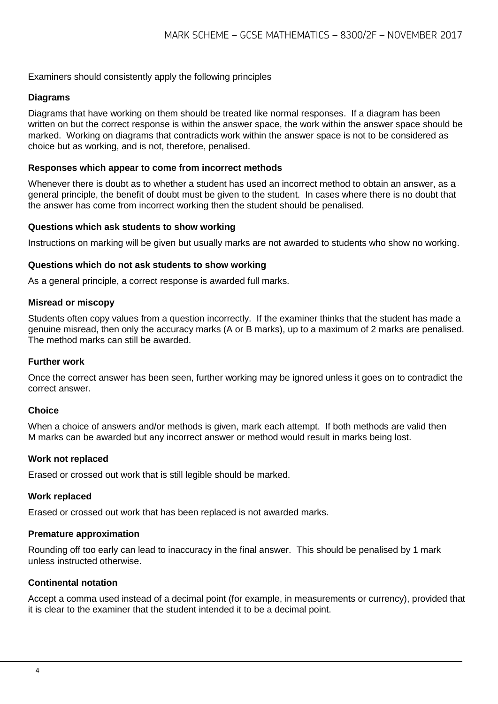#### Examiners should consistently apply the following principles

#### **Diagrams**

Diagrams that have working on them should be treated like normal responses. If a diagram has been written on but the correct response is within the answer space, the work within the answer space should be marked. Working on diagrams that contradicts work within the answer space is not to be considered as choice but as working, and is not, therefore, penalised.

#### **Responses which appear to come from incorrect methods**

Whenever there is doubt as to whether a student has used an incorrect method to obtain an answer, as a general principle, the benefit of doubt must be given to the student. In cases where there is no doubt that the answer has come from incorrect working then the student should be penalised.

#### **Questions which ask students to show working**

Instructions on marking will be given but usually marks are not awarded to students who show no working.

#### **Questions which do not ask students to show working**

As a general principle, a correct response is awarded full marks.

#### **Misread or miscopy**

Students often copy values from a question incorrectly. If the examiner thinks that the student has made a genuine misread, then only the accuracy marks (A or B marks), up to a maximum of 2 marks are penalised. The method marks can still be awarded.

#### **Further work**

Once the correct answer has been seen, further working may be ignored unless it goes on to contradict the correct answer.

#### **Choice**

When a choice of answers and/or methods is given, mark each attempt. If both methods are valid then M marks can be awarded but any incorrect answer or method would result in marks being lost.

#### **Work not replaced**

Erased or crossed out work that is still legible should be marked.

#### **Work replaced**

Erased or crossed out work that has been replaced is not awarded marks.

#### **Premature approximation**

Rounding off too early can lead to inaccuracy in the final answer. This should be penalised by 1 mark unless instructed otherwise.

#### **Continental notation**

Accept a comma used instead of a decimal point (for example, in measurements or currency), provided that it is clear to the examiner that the student intended it to be a decimal point.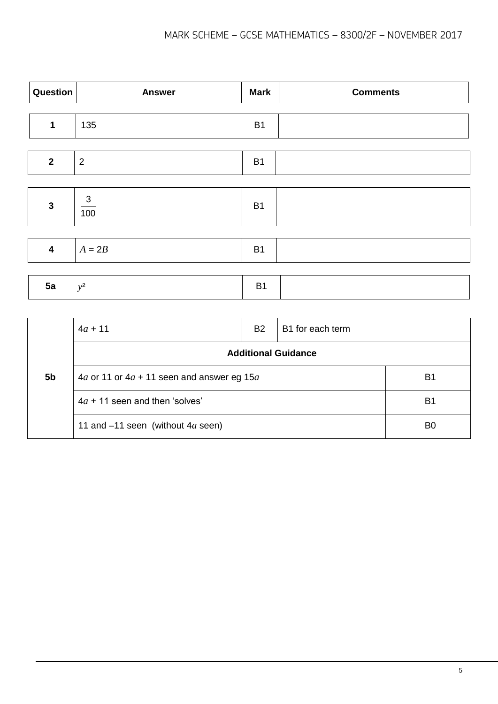| Question     | <b>Answer</b>       | <b>Mark</b> | <b>Comments</b> |
|--------------|---------------------|-------------|-----------------|
|              |                     |             |                 |
| 1            | 135                 | <b>B1</b>   |                 |
|              |                     |             |                 |
| $\mathbf{2}$ | $\sqrt{2}$          | <b>B1</b>   |                 |
|              |                     |             |                 |
| $\mathbf{3}$ | $\mathbf{3}$<br>100 | <b>B1</b>   |                 |
|              |                     |             |                 |
| 4            | $A = 2B$            | <b>B1</b>   |                 |
|              |                     |             |                 |
| 5a           | $y^2$               | <b>B1</b>   |                 |

|    | $4a + 11$                                  | <b>B2</b> | B1 for each term |                |  |  |
|----|--------------------------------------------|-----------|------------------|----------------|--|--|
|    | <b>Additional Guidance</b>                 |           |                  |                |  |  |
| 5b | 4a or 11 or 4a + 11 seen and answer eg 15a |           |                  |                |  |  |
|    | $4a + 11$ seen and then 'solves'           |           |                  | B <sub>1</sub> |  |  |
|    | 11 and $-11$ seen (without $4a$ seen)      |           |                  | B <sub>0</sub> |  |  |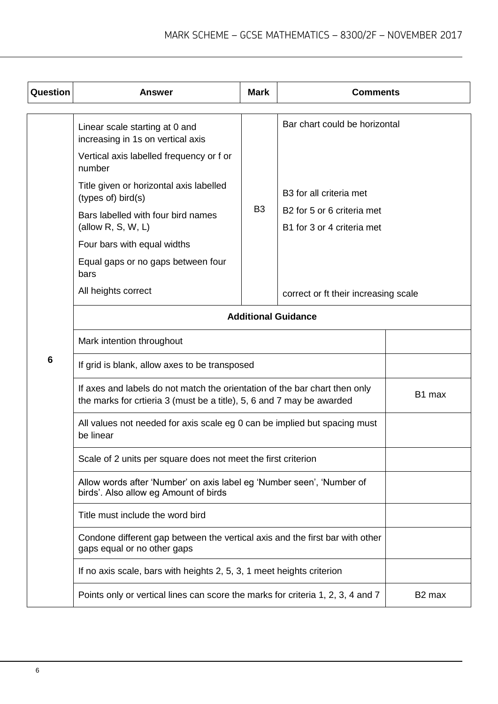| Question | <b>Answer</b>                                                                                                                                        | <b>Mark</b>    | <b>Comments</b>                                                      |                    |  |
|----------|------------------------------------------------------------------------------------------------------------------------------------------------------|----------------|----------------------------------------------------------------------|--------------------|--|
|          |                                                                                                                                                      |                | Bar chart could be horizontal                                        |                    |  |
|          | Linear scale starting at 0 and<br>increasing in 1s on vertical axis                                                                                  |                |                                                                      |                    |  |
|          | Vertical axis labelled frequency or f or<br>number                                                                                                   |                |                                                                      |                    |  |
|          | Title given or horizontal axis labelled<br>(types of) bird(s)                                                                                        |                | B3 for all criteria met                                              |                    |  |
|          | Bars labelled with four bird names<br>(allow $R, S, W, L$ )                                                                                          | B <sub>3</sub> | B <sub>2</sub> for 5 or 6 criteria met<br>B1 for 3 or 4 criteria met |                    |  |
|          | Four bars with equal widths                                                                                                                          |                |                                                                      |                    |  |
|          | Equal gaps or no gaps between four<br>bars                                                                                                           |                |                                                                      |                    |  |
|          | All heights correct                                                                                                                                  |                | correct or ft their increasing scale                                 |                    |  |
|          | <b>Additional Guidance</b>                                                                                                                           |                |                                                                      |                    |  |
|          | Mark intention throughout                                                                                                                            |                |                                                                      |                    |  |
| 6        | If grid is blank, allow axes to be transposed                                                                                                        |                |                                                                      |                    |  |
|          | If axes and labels do not match the orientation of the bar chart then only<br>the marks for critieria 3 (must be a title), 5, 6 and 7 may be awarded | B1 max         |                                                                      |                    |  |
|          | All values not needed for axis scale eg 0 can be implied but spacing must<br>be linear                                                               |                |                                                                      |                    |  |
|          | Scale of 2 units per square does not meet the first criterion                                                                                        |                |                                                                      |                    |  |
|          | Allow words after 'Number' on axis label eg 'Number seen', 'Number of<br>birds'. Also allow eg Amount of birds                                       |                |                                                                      |                    |  |
|          | Title must include the word bird                                                                                                                     |                |                                                                      |                    |  |
|          | Condone different gap between the vertical axis and the first bar with other<br>gaps equal or no other gaps                                          |                |                                                                      |                    |  |
|          | If no axis scale, bars with heights 2, 5, 3, 1 meet heights criterion                                                                                |                |                                                                      |                    |  |
|          | Points only or vertical lines can score the marks for criteria 1, 2, 3, 4 and 7                                                                      |                |                                                                      | B <sub>2</sub> max |  |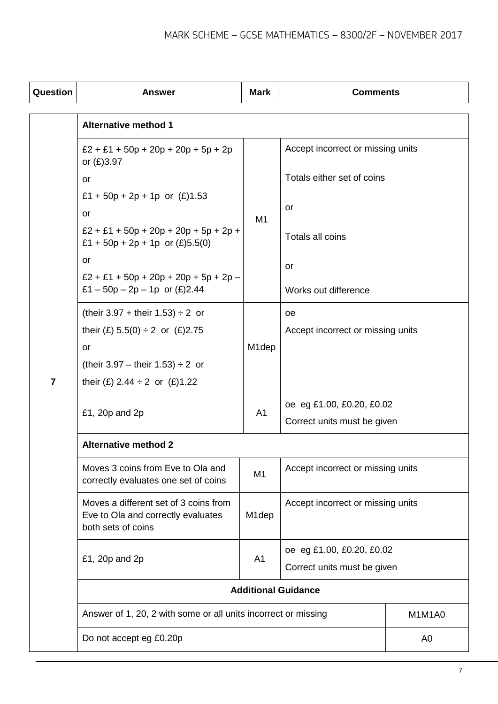| Question       | <b>Answer</b>                                                                                     | <b>Mark</b>        | <b>Comments</b>                   |                |  |
|----------------|---------------------------------------------------------------------------------------------------|--------------------|-----------------------------------|----------------|--|
|                | <b>Alternative method 1</b>                                                                       |                    |                                   |                |  |
|                | $£2 + £1 + 50p + 20p + 20p + 5p + 2p$<br>or $(E)3.97$                                             |                    | Accept incorrect or missing units |                |  |
|                | or                                                                                                |                    | Totals either set of coins        |                |  |
|                | £1 + 50p + 2p + 1p or $(E)1.53$                                                                   |                    | or                                |                |  |
|                | or                                                                                                | M <sub>1</sub>     |                                   |                |  |
|                | $£2 + £1 + 50p + 20p + 20p + 5p + 2p +$<br>£1 + 50p + 2p + 1p or $(E)$ 5.5(0)                     |                    | Totals all coins                  |                |  |
|                | or                                                                                                |                    | or                                |                |  |
|                | $£2 + £1 + 50p + 20p + 20p + 5p + 2p -$<br>£1 - 50p - 2p - 1p or $(E)$ 2.44                       |                    | Works out difference              |                |  |
|                | (their 3.97 + their 1.53) $\div 2$ or                                                             |                    | oe                                |                |  |
|                | their (£) 5.5(0) $\div$ 2 or (£)2.75                                                              |                    | Accept incorrect or missing units |                |  |
|                | or                                                                                                | M <sub>1</sub> dep |                                   |                |  |
|                | (their 3.97 – their 1.53) $\div 2$ or                                                             |                    |                                   |                |  |
| $\overline{7}$ | their (£) 2.44 $\div$ 2 or (£)1.22                                                                |                    |                                   |                |  |
|                | £1, 20p and 2p                                                                                    | A <sub>1</sub>     | oe eg £1.00, £0.20, £0.02         |                |  |
|                |                                                                                                   |                    | Correct units must be given       |                |  |
|                | <b>Alternative method 2</b>                                                                       |                    |                                   |                |  |
|                | Moves 3 coins from Eve to Ola and<br>correctly evaluates one set of coins                         | M <sub>1</sub>     | Accept incorrect or missing units |                |  |
|                | Moves a different set of 3 coins from<br>Eve to Ola and correctly evaluates<br>both sets of coins | M <sub>1</sub> dep | Accept incorrect or missing units |                |  |
|                | £1, 20p and 2p                                                                                    | A <sub>1</sub>     | oe eg £1.00, £0.20, £0.02         |                |  |
|                |                                                                                                   |                    | Correct units must be given       |                |  |
|                | <b>Additional Guidance</b>                                                                        |                    |                                   |                |  |
|                | Answer of 1, 20, 2 with some or all units incorrect or missing                                    |                    |                                   | M1M1A0         |  |
|                | Do not accept eg £0.20p                                                                           |                    |                                   | A <sub>0</sub> |  |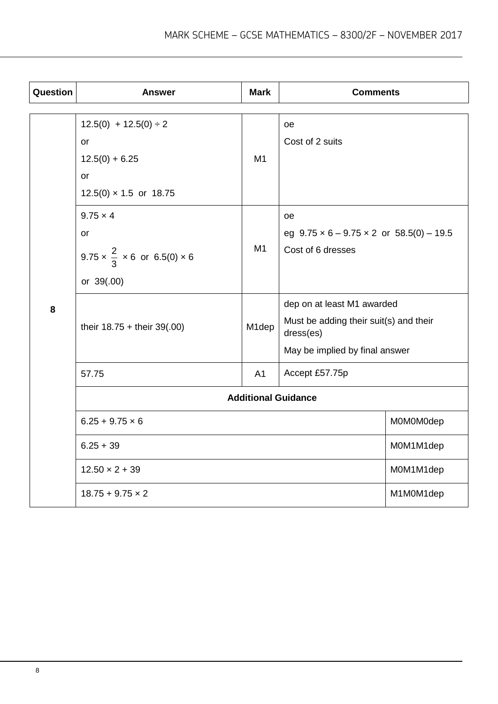| Question | <b>Answer</b>                                    | <b>Mark</b>    | <b>Comments</b>                                        |           |
|----------|--------------------------------------------------|----------------|--------------------------------------------------------|-----------|
|          |                                                  |                |                                                        |           |
|          | $12.5(0) + 12.5(0) \div 2$                       |                | <b>oe</b>                                              |           |
|          | or                                               |                | Cost of 2 suits                                        |           |
|          | $12.5(0) + 6.25$                                 | M1             |                                                        |           |
|          | or                                               |                |                                                        |           |
|          | $12.5(0) \times 1.5$ or 18.75                    |                |                                                        |           |
|          | $9.75 \times 4$                                  |                | oe                                                     |           |
|          | or                                               |                | eg $9.75 \times 6 - 9.75 \times 2$ or $58.5(0) - 19.5$ |           |
|          | $9.75 \times \frac{2}{3} \times 6$ or 6.5(0) × 6 | M1             | Cost of 6 dresses                                      |           |
|          | or 39(.00)                                       |                |                                                        |           |
| 8        |                                                  |                | dep on at least M1 awarded                             |           |
|          | M1dep<br>their $18.75 +$ their $39(.00)$         |                | Must be adding their suit(s) and their<br>dress(es)    |           |
|          |                                                  |                | May be implied by final answer                         |           |
|          | 57.75                                            | A <sub>1</sub> | Accept £57.75p                                         |           |
|          | <b>Additional Guidance</b>                       |                |                                                        |           |
|          | $6.25 + 9.75 \times 6$                           | M0M0M0dep      |                                                        |           |
|          | $6.25 + 39$                                      | M0M1M1dep      |                                                        |           |
|          | $12.50 \times 2 + 39$                            | M0M1M1dep      |                                                        |           |
|          | $18.75 + 9.75 \times 2$                          |                |                                                        | M1M0M1dep |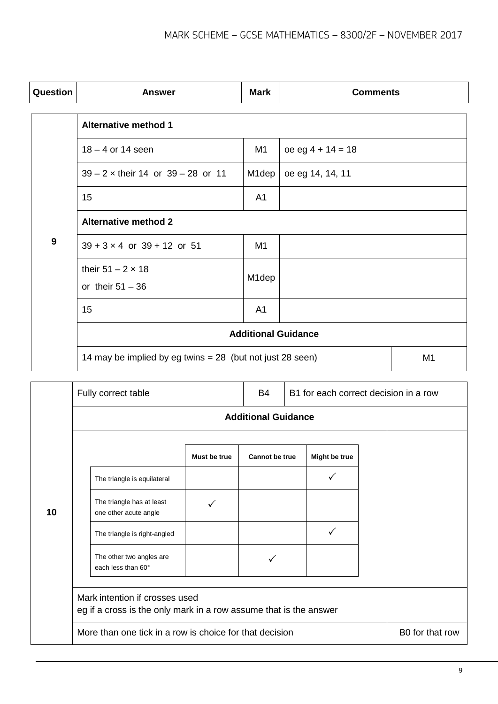| Question         | <b>Answer</b>                                             | <b>Mark</b>        | <b>Comments</b>     |                |  |
|------------------|-----------------------------------------------------------|--------------------|---------------------|----------------|--|
|                  | <b>Alternative method 1</b>                               |                    |                     |                |  |
| $\boldsymbol{9}$ | $18 - 4$ or 14 seen                                       | M1                 | $oe$ eg 4 + 14 = 18 |                |  |
|                  | $39 - 2 \times$ their 14 or $39 - 28$ or 11               | M <sub>1</sub> dep | oe eg 14, 14, 11    |                |  |
|                  | 15                                                        | A <sub>1</sub>     |                     |                |  |
|                  | <b>Alternative method 2</b>                               |                    |                     |                |  |
|                  | $39 + 3 \times 4$ or $39 + 12$ or 51                      | M1                 |                     |                |  |
|                  | their $51 - 2 \times 18$<br>or their $51 - 36$            | M <sub>1</sub> dep |                     |                |  |
|                  | 15                                                        | A <sub>1</sub>     |                     |                |  |
|                  | <b>Additional Guidance</b>                                |                    |                     |                |  |
|                  | 14 may be implied by eg twins = 28 (but not just 28 seen) |                    |                     | M <sub>1</sub> |  |

|    | Fully correct table                                                                                 |              | B4                    |  | B1 for each correct decision in a row |  |                 |
|----|-----------------------------------------------------------------------------------------------------|--------------|-----------------------|--|---------------------------------------|--|-----------------|
|    |                                                                                                     |              |                       |  |                                       |  |                 |
|    |                                                                                                     |              |                       |  |                                       |  |                 |
|    |                                                                                                     | Must be true | <b>Cannot be true</b> |  | Might be true                         |  |                 |
| 10 | The triangle is equilateral                                                                         |              |                       |  |                                       |  |                 |
|    | The triangle has at least<br>one other acute angle                                                  |              |                       |  |                                       |  |                 |
|    | The triangle is right-angled                                                                        |              |                       |  |                                       |  |                 |
|    | The other two angles are<br>each less than 60°                                                      |              |                       |  |                                       |  |                 |
|    | Mark intention if crosses used<br>eg if a cross is the only mark in a row assume that is the answer |              |                       |  |                                       |  |                 |
|    | More than one tick in a row is choice for that decision                                             |              |                       |  |                                       |  | B0 for that row |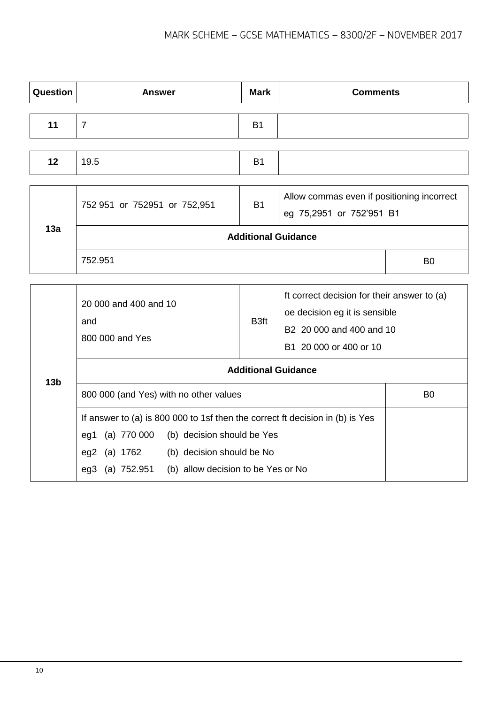| Question        | <b>Answer</b>                                                                                                                                                                                                                               | <b>Mark</b>      | <b>Comments</b>                                                                                                                    |                |
|-----------------|---------------------------------------------------------------------------------------------------------------------------------------------------------------------------------------------------------------------------------------------|------------------|------------------------------------------------------------------------------------------------------------------------------------|----------------|
| 11              | $\overline{7}$                                                                                                                                                                                                                              | <b>B1</b>        |                                                                                                                                    |                |
| 12              | 19.5                                                                                                                                                                                                                                        | <b>B1</b>        |                                                                                                                                    |                |
|                 | 752 951 or 752951 or 752,951                                                                                                                                                                                                                |                  | Allow commas even if positioning incorrect<br>eg 75,2951 or 752'951 B1                                                             |                |
| 13a             |                                                                                                                                                                                                                                             |                  | <b>Additional Guidance</b>                                                                                                         |                |
|                 | 752.951                                                                                                                                                                                                                                     |                  |                                                                                                                                    | B <sub>0</sub> |
|                 | 20 000 and 400 and 10<br>and<br>800 000 and Yes                                                                                                                                                                                             | B <sub>3ft</sub> | ft correct decision for their answer to (a)<br>oe decision eg it is sensible<br>B2 20 000 and 400 and 10<br>B1 20 000 or 400 or 10 |                |
| 13 <sub>b</sub> | <b>Additional Guidance</b>                                                                                                                                                                                                                  |                  |                                                                                                                                    |                |
|                 | 800 000 (and Yes) with no other values                                                                                                                                                                                                      |                  |                                                                                                                                    | B <sub>0</sub> |
|                 | If answer to (a) is 800 000 to 1sf then the correct ft decision in (b) is Yes<br>(a) $770000$<br>(b) decision should be Yes<br>eg1<br>eg2<br>(a) 1762<br>(b) decision should be No<br>(b) allow decision to be Yes or No<br>eg3 (a) 752.951 |                  |                                                                                                                                    |                |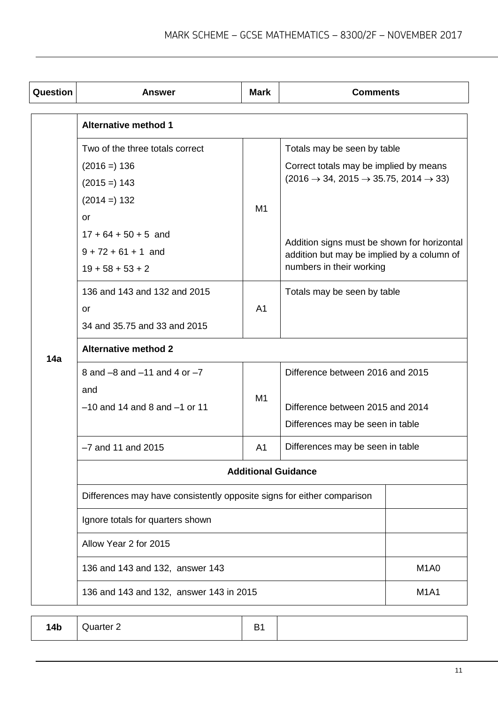| Question | <b>Answer</b>                                                          | <b>Mark</b>                | <b>Comments</b>                                                      |                               |  |  |
|----------|------------------------------------------------------------------------|----------------------------|----------------------------------------------------------------------|-------------------------------|--|--|
|          | <b>Alternative method 1</b>                                            |                            |                                                                      |                               |  |  |
|          | Two of the three totals correct                                        |                            | Totals may be seen by table                                          |                               |  |  |
|          | $(2016=) 136$                                                          |                            | Correct totals may be implied by means                               |                               |  |  |
|          | $(2015=) 143$                                                          |                            | $(2016 \rightarrow 34, 2015 \rightarrow 35.75, 2014 \rightarrow 33)$ |                               |  |  |
|          | $(2014=) 132$                                                          | M1                         |                                                                      |                               |  |  |
|          | or                                                                     |                            |                                                                      |                               |  |  |
|          | $17 + 64 + 50 + 5$ and                                                 |                            | Addition signs must be shown for horizontal                          |                               |  |  |
|          | $9 + 72 + 61 + 1$ and                                                  |                            | addition but may be implied by a column of                           |                               |  |  |
|          | $19 + 58 + 53 + 2$                                                     |                            | numbers in their working                                             |                               |  |  |
|          | 136 and 143 and 132 and 2015                                           |                            | Totals may be seen by table                                          |                               |  |  |
|          | or                                                                     | A <sub>1</sub>             |                                                                      |                               |  |  |
|          | 34 and 35.75 and 33 and 2015                                           |                            |                                                                      |                               |  |  |
| 14a      | <b>Alternative method 2</b>                                            |                            |                                                                      |                               |  |  |
|          | 8 and $-8$ and $-11$ and 4 or $-7$                                     |                            | Difference between 2016 and 2015                                     |                               |  |  |
|          | and                                                                    | M <sub>1</sub>             |                                                                      |                               |  |  |
|          | $-10$ and 14 and 8 and $-1$ or 11                                      |                            | Difference between 2015 and 2014                                     |                               |  |  |
|          |                                                                        |                            | Differences may be seen in table                                     |                               |  |  |
|          | $-7$ and 11 and 2015                                                   | A <sub>1</sub>             | Differences may be seen in table                                     |                               |  |  |
|          |                                                                        | <b>Additional Guidance</b> |                                                                      |                               |  |  |
|          | Differences may have consistently opposite signs for either comparison |                            |                                                                      |                               |  |  |
|          | Ignore totals for quarters shown                                       |                            |                                                                      |                               |  |  |
|          | Allow Year 2 for 2015                                                  |                            |                                                                      |                               |  |  |
|          | 136 and 143 and 132, answer 143                                        |                            |                                                                      | M <sub>1</sub> A <sub>0</sub> |  |  |
|          | 136 and 143 and 132, answer 143 in 2015                                |                            |                                                                      | <b>M1A1</b>                   |  |  |

**14b** Quarter 2 B1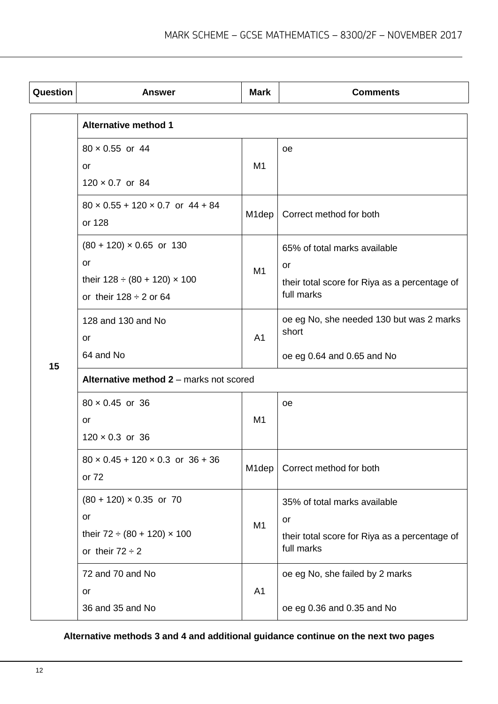| Question | <b>Answer</b>                                                                                                  | Mark               | <b>Comments</b>                                                                                   |  |  |
|----------|----------------------------------------------------------------------------------------------------------------|--------------------|---------------------------------------------------------------------------------------------------|--|--|
|          | <b>Alternative method 1</b>                                                                                    |                    |                                                                                                   |  |  |
|          | $80 \times 0.55$ or 44<br>or<br>$120 \times 0.7$ or 84                                                         | M1                 | <b>oe</b>                                                                                         |  |  |
|          | $80 \times 0.55 + 120 \times 0.7$ or $44 + 84$<br>or 128                                                       | M1dep              | Correct method for both                                                                           |  |  |
|          | $(80 + 120) \times 0.65$ or 130<br>or<br>their $128 \div (80 + 120) \times 100$<br>or their $128 \div 2$ or 64 | M1                 | 65% of total marks available<br>or<br>their total score for Riya as a percentage of<br>full marks |  |  |
|          | 128 and 130 and No<br>or<br>64 and No                                                                          | A <sub>1</sub>     | oe eg No, she needed 130 but was 2 marks<br>short<br>oe eg 0.64 and 0.65 and No                   |  |  |
| 15       | Alternative method 2 - marks not scored                                                                        |                    |                                                                                                   |  |  |
|          | $80 \times 0.45$ or 36<br>or<br>$120 \times 0.3$ or 36                                                         | M1                 | oe                                                                                                |  |  |
|          | $80 \times 0.45 + 120 \times 0.3$ or $36 + 36$<br>or 72                                                        | M <sub>1</sub> dep | Correct method for both                                                                           |  |  |
|          | $(80 + 120) \times 0.35$ or 70<br>or<br>their $72 \div (80 + 120) \times 100$<br>or their $72 \div 2$          | M <sub>1</sub>     | 35% of total marks available<br>or<br>their total score for Riya as a percentage of<br>full marks |  |  |
|          | 72 and 70 and No<br>or<br>36 and 35 and No                                                                     | A1                 | oe eg No, she failed by 2 marks<br>oe eg 0.36 and 0.35 and No                                     |  |  |

**Alternative methods 3 and 4 and additional guidance continue on the next two pages**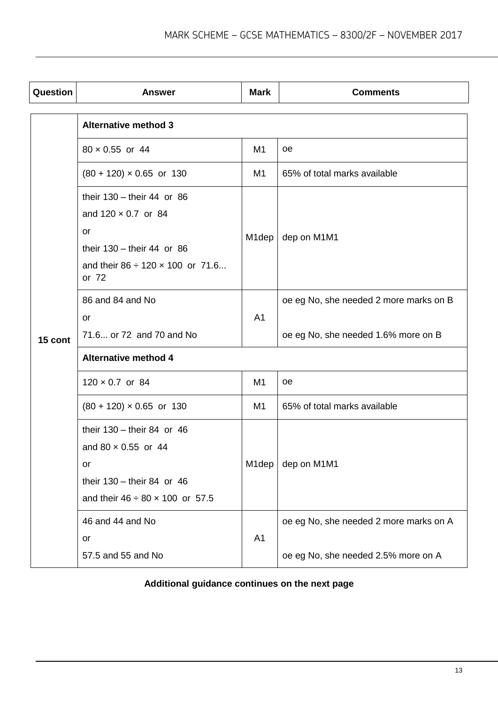| Question | <b>Answer</b>                                                                         | <b>Mark</b>        | <b>Comments</b>                        |  |  |  |
|----------|---------------------------------------------------------------------------------------|--------------------|----------------------------------------|--|--|--|
|          | <b>Alternative method 3</b>                                                           |                    |                                        |  |  |  |
|          | $80 \times 0.55$ or 44                                                                | M <sub>1</sub>     | 0e                                     |  |  |  |
|          | $(80 + 120) \times 0.65$ or 130                                                       | M <sub>1</sub>     | 65% of total marks available           |  |  |  |
|          | their $130 -$ their 44 or 86<br>and $120 \times 0.7$ or 84<br>or                      |                    |                                        |  |  |  |
|          | their $130 -$ their 44 or 86<br>and their 86 $\div$ 120 $\times$ 100 or 71.6<br>or 72 | M <sub>1</sub> dep | dep on M1M1                            |  |  |  |
|          | 86 and 84 and No<br>or                                                                | A <sub>1</sub>     | oe eg No, she needed 2 more marks on B |  |  |  |
| 15 cont  | 71.6 or 72 and 70 and No                                                              |                    | oe eg No, she needed 1.6% more on B    |  |  |  |
|          | <b>Alternative method 4</b>                                                           |                    |                                        |  |  |  |
|          | $120 \times 0.7$ or 84                                                                | M1                 | oe                                     |  |  |  |
|          | $(80 + 120) \times 0.65$ or 130                                                       | M1                 | 65% of total marks available           |  |  |  |
|          | their $130 -$ their 84 or 46<br>and $80 \times 0.55$ or 44                            |                    |                                        |  |  |  |
|          | or<br>their $130 -$ their 84 or 46<br>and their $46 \div 80 \times 100$ or 57.5       | M1dep              | dep on M1M1                            |  |  |  |
|          | 46 and 44 and No<br>or                                                                | A <sub>1</sub>     | oe eg No, she needed 2 more marks on A |  |  |  |
|          | 57.5 and 55 and No                                                                    |                    | oe eg No, she needed 2.5% more on A    |  |  |  |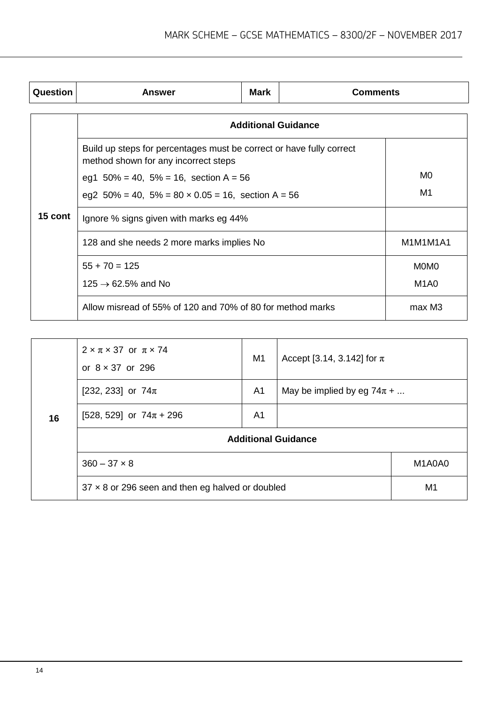| Question | <b>Answer</b>                                                                                                | <b>Mark</b>                   | <b>Comments</b> |  |  |  |  |  |  |
|----------|--------------------------------------------------------------------------------------------------------------|-------------------------------|-----------------|--|--|--|--|--|--|
|          |                                                                                                              | <b>Additional Guidance</b>    |                 |  |  |  |  |  |  |
|          | Build up steps for percentages must be correct or have fully correct<br>method shown for any incorrect steps |                               |                 |  |  |  |  |  |  |
|          | eg1 $50\% = 40$ , $5\% = 16$ , section A = 56                                                                | M <sub>0</sub>                |                 |  |  |  |  |  |  |
|          | eg2 $50\% = 40$ , $5\% = 80 \times 0.05 = 16$ , section A = 56                                               | M1                            |                 |  |  |  |  |  |  |
| 15 cont  | Ignore % signs given with marks eg 44%                                                                       |                               |                 |  |  |  |  |  |  |
|          | 128 and she needs 2 more marks implies No                                                                    | M1M1M1A1                      |                 |  |  |  |  |  |  |
|          | $55 + 70 = 125$                                                                                              | MOMO                          |                 |  |  |  |  |  |  |
|          | $125 \rightarrow 62.5\%$ and No                                                                              | M <sub>1</sub> A <sub>0</sub> |                 |  |  |  |  |  |  |
|          | Allow misread of 55% of 120 and 70% of 80 for method marks                                                   | max M3                        |                 |  |  |  |  |  |  |

| 16 | $2 \times \pi \times 37$ or $\pi \times 74$<br>or $8 \times 37$ or 296 | M1     | Accept [3.14, 3.142] for $\pi$  |  |  |  |
|----|------------------------------------------------------------------------|--------|---------------------------------|--|--|--|
|    | [232, 233] or $74\pi$                                                  | A1     | May be implied by eg $74\pi + $ |  |  |  |
|    | [528, 529] or $74\pi + 296$                                            | A1     |                                 |  |  |  |
|    | <b>Additional Guidance</b>                                             |        |                                 |  |  |  |
|    | $360 - 37 \times 8$                                                    | M1A0A0 |                                 |  |  |  |
|    | $37 \times 8$ or 296 seen and then eg halved or doubled                | M1     |                                 |  |  |  |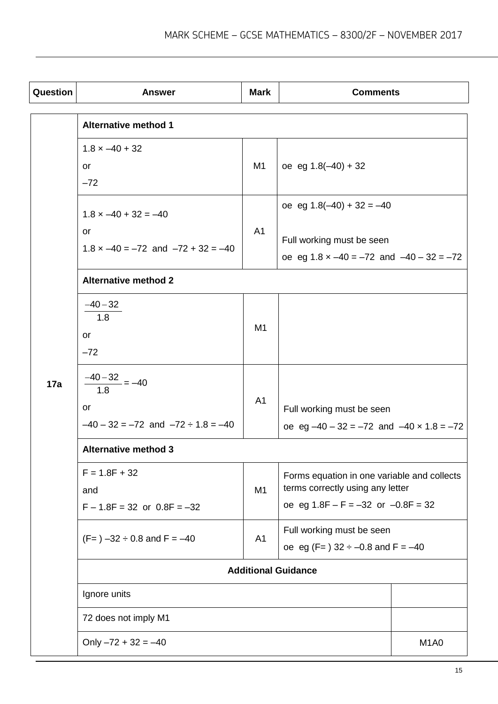| Question | <b>Mark</b><br><b>Comments</b><br><b>Answer</b>                                                            |                |                                                                                                                           |                               |  |  |
|----------|------------------------------------------------------------------------------------------------------------|----------------|---------------------------------------------------------------------------------------------------------------------------|-------------------------------|--|--|
|          | <b>Alternative method 1</b>                                                                                |                |                                                                                                                           |                               |  |  |
|          | $1.8 \times -40 + 32$<br>or<br>$-72$                                                                       | M1             | oe eg $1.8(-40) + 32$                                                                                                     |                               |  |  |
|          | $1.8 \times -40 + 32 = -40$<br>or<br>$1.8 \times -40 = -72$ and $-72 + 32 = -40$                           | A <sub>1</sub> | oe eg $1.8(-40) + 32 = -40$<br>Full working must be seen<br>oe eg $1.8 \times -40 = -72$ and $-40 - 32 = -72$             |                               |  |  |
|          | <b>Alternative method 2</b>                                                                                |                |                                                                                                                           |                               |  |  |
| 17a      | $-40-32$<br>1.8<br>or<br>$-72$                                                                             | M <sub>1</sub> |                                                                                                                           |                               |  |  |
|          | $\frac{-40-32}{1.8} = -40$<br>or<br>$-40 - 32 = -72$ and $-72 \div 1.8 = -40$                              | A <sub>1</sub> | Full working must be seen<br>oe eg $-40 - 32 = -72$ and $-40 \times 1.8 = -72$                                            |                               |  |  |
|          | <b>Alternative method 3</b>                                                                                |                |                                                                                                                           |                               |  |  |
|          | $F = 1.8F + 32$<br>and<br>$F - 1.8F = 32$ or $0.8F = -32$                                                  | M <sub>1</sub> | Forms equation in one variable and collects<br>terms correctly using any letter<br>oe eg $1.8F - F = -32$ or $-0.8F = 32$ |                               |  |  |
|          | Full working must be seen<br>$(F=) -32 \div 0.8$ and $F = -40$<br>A1<br>oe eg $(F=)$ 32 ÷ -0.8 and F = -40 |                |                                                                                                                           |                               |  |  |
|          | <b>Additional Guidance</b>                                                                                 |                |                                                                                                                           |                               |  |  |
|          | Ignore units                                                                                               |                |                                                                                                                           |                               |  |  |
|          | 72 does not imply M1                                                                                       |                |                                                                                                                           |                               |  |  |
|          | Only $-72 + 32 = -40$                                                                                      |                |                                                                                                                           | M <sub>1</sub> A <sub>0</sub> |  |  |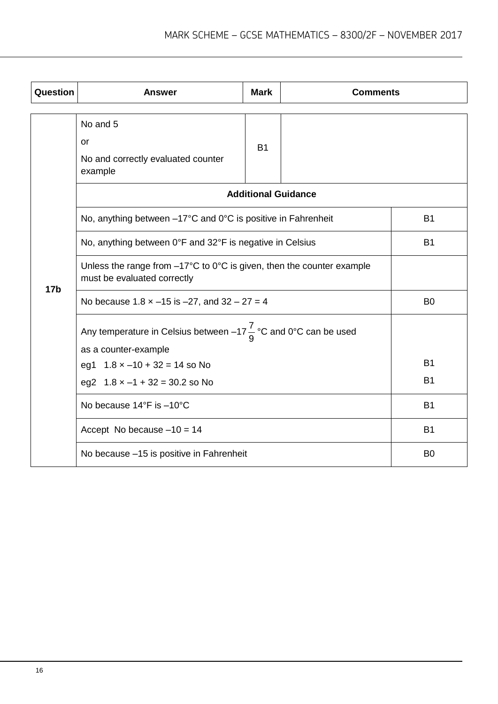| Question        | <b>Answer</b>                                                                                                  | <b>Mark</b>    | <b>Comments</b> |                |  |  |
|-----------------|----------------------------------------------------------------------------------------------------------------|----------------|-----------------|----------------|--|--|
|                 | No and 5<br>or<br>No and correctly evaluated counter<br>example                                                |                |                 |                |  |  |
|                 | <b>Additional Guidance</b>                                                                                     |                |                 |                |  |  |
|                 | No, anything between -17°C and 0°C is positive in Fahrenheit                                                   |                |                 | <b>B1</b>      |  |  |
|                 | No, anything between 0°F and 32°F is negative in Celsius                                                       | <b>B1</b>      |                 |                |  |  |
| 17 <sub>b</sub> | Unless the range from $-17^{\circ}$ C to 0°C is given, then the counter example<br>must be evaluated correctly |                |                 |                |  |  |
|                 | No because $1.8 \times -15$ is $-27$ , and $32 - 27 = 4$                                                       | B <sub>0</sub> |                 |                |  |  |
|                 | Any temperature in Celsius between -17 $\frac{7}{9}$ °C and 0°C can be used<br>as a counter-example            |                |                 |                |  |  |
|                 | eg1 $1.8 \times -10 + 32 = 14$ so No                                                                           | <b>B1</b>      |                 |                |  |  |
|                 | eg2 $1.8 \times -1 + 32 = 30.2$ so No                                                                          | <b>B1</b>      |                 |                |  |  |
|                 | No because 14°F is -10°C                                                                                       | <b>B1</b>      |                 |                |  |  |
|                 | Accept No because $-10 = 14$                                                                                   | <b>B1</b>      |                 |                |  |  |
|                 | No because -15 is positive in Fahrenheit                                                                       |                |                 | B <sub>0</sub> |  |  |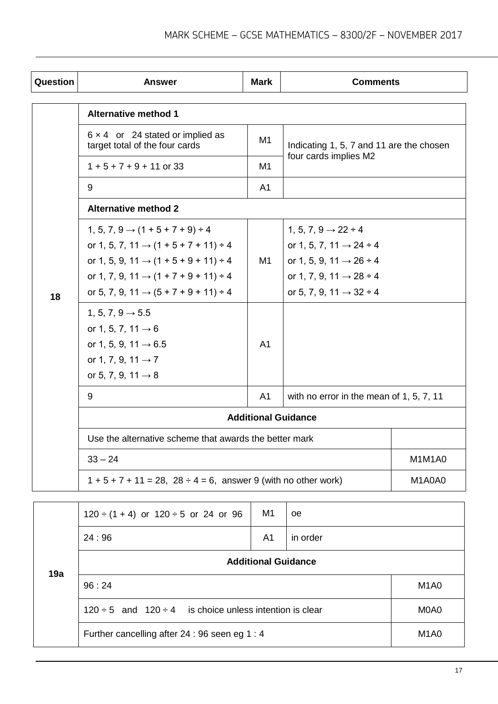| Question | <b>Answer</b>                                                                                                                                                                                                                                                                                                                                                                                                                                   | <b>Mark</b>                            | <b>Comments</b>       |                                          |  |  |  |  |
|----------|-------------------------------------------------------------------------------------------------------------------------------------------------------------------------------------------------------------------------------------------------------------------------------------------------------------------------------------------------------------------------------------------------------------------------------------------------|----------------------------------------|-----------------------|------------------------------------------|--|--|--|--|
|          | <b>Alternative method 1</b>                                                                                                                                                                                                                                                                                                                                                                                                                     |                                        |                       |                                          |  |  |  |  |
| 18       | $6 \times 4$ or 24 stated or implied as<br>M <sub>1</sub><br>target total of the four cards                                                                                                                                                                                                                                                                                                                                                     |                                        |                       | Indicating 1, 5, 7 and 11 are the chosen |  |  |  |  |
|          | $1 + 5 + 7 + 9 + 11$ or 33                                                                                                                                                                                                                                                                                                                                                                                                                      | M1                                     | four cards implies M2 |                                          |  |  |  |  |
|          | 9                                                                                                                                                                                                                                                                                                                                                                                                                                               | A <sub>1</sub>                         |                       |                                          |  |  |  |  |
|          | <b>Alternative method 2</b>                                                                                                                                                                                                                                                                                                                                                                                                                     |                                        |                       |                                          |  |  |  |  |
|          | 1, 5, 7, 9 $\rightarrow$ (1 + 5 + 7 + 9) ÷ 4<br>or 1, 5, 7, 11 $\rightarrow$ (1 + 5 + 7 + 11) ÷ 4<br>or 1, 5, 9, 11 $\rightarrow$ (1 + 5 + 9 + 11) ÷ 4<br>or 1, 7, 9, 11 $\rightarrow$ (1 + 7 + 9 + 11) ÷ 4<br>or 5, 7, 9, 11 $\rightarrow$ (5 + 7 + 9 + 11) ÷ 4<br>1, 5, 7, 9 $\rightarrow$ 5.5<br>or 1, 5, 7, 11 $\rightarrow$ 6<br>or 1, 5, 9, 11 $\rightarrow$ 6.5<br>or 1, 7, 9, 11 $\rightarrow$ 7<br>or 5, 7, 9, 11 $\rightarrow$ 8<br>9 | M1<br>A <sub>1</sub><br>A <sub>1</sub> |                       |                                          |  |  |  |  |
|          | with no error in the mean of 1, 5, 7, 11<br><b>Additional Guidance</b>                                                                                                                                                                                                                                                                                                                                                                          |                                        |                       |                                          |  |  |  |  |
|          |                                                                                                                                                                                                                                                                                                                                                                                                                                                 |                                        |                       |                                          |  |  |  |  |
|          | Use the alternative scheme that awards the better mark                                                                                                                                                                                                                                                                                                                                                                                          |                                        |                       |                                          |  |  |  |  |
|          | $33 - 24$                                                                                                                                                                                                                                                                                                                                                                                                                                       |                                        | M1M1A0                |                                          |  |  |  |  |
|          | $1 + 5 + 7 + 11 = 28$ , $28 \div 4 = 6$ , answer 9 (with no other work)                                                                                                                                                                                                                                                                                                                                                                         |                                        |                       | M1A0A0                                   |  |  |  |  |
|          | $120 \div (1 + 4)$ or $120 \div 5$ or 24 or 96                                                                                                                                                                                                                                                                                                                                                                                                  | M <sub>1</sub>                         | oe                    |                                          |  |  |  |  |
|          | 24:96                                                                                                                                                                                                                                                                                                                                                                                                                                           | A <sub>1</sub>                         | in order              |                                          |  |  |  |  |
|          | <b>Additional Guidance</b>                                                                                                                                                                                                                                                                                                                                                                                                                      |                                        |                       |                                          |  |  |  |  |

| 19a |                                                                   |                               |  |  |  |  |
|-----|-------------------------------------------------------------------|-------------------------------|--|--|--|--|
|     | 96:24                                                             | M <sub>1</sub> A <sub>0</sub> |  |  |  |  |
|     | $120 \div 5$ and $120 \div 4$ is choice unless intention is clear | M0A0                          |  |  |  |  |
|     | Further cancelling after 24 : 96 seen eg 1 : 4                    | M <sub>1</sub> A <sub>0</sub> |  |  |  |  |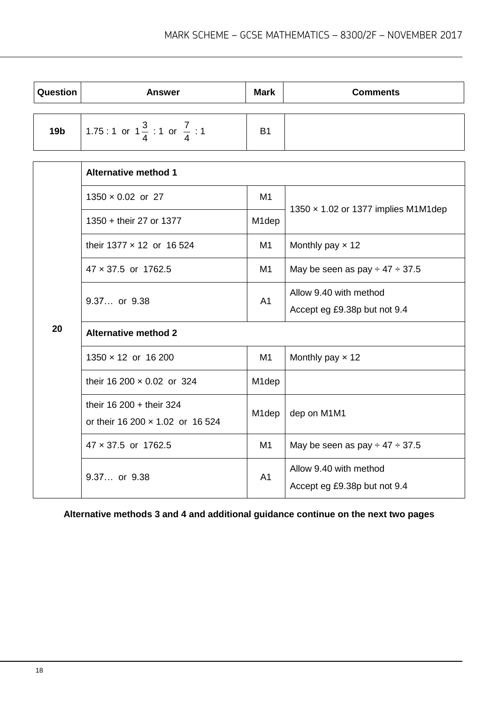| Question        | <b>Answer</b>                                                 | <b>Mark</b>        | <b>Comments</b>                                        |  |  |  |
|-----------------|---------------------------------------------------------------|--------------------|--------------------------------------------------------|--|--|--|
| 19 <sub>b</sub> | 1.75 : 1 or $1\frac{3}{4}$ : 1 or $\frac{7}{4}$ : 1           | <b>B1</b>          |                                                        |  |  |  |
|                 | <b>Alternative method 1</b>                                   |                    |                                                        |  |  |  |
|                 | $1350 \times 0.02$ or 27                                      | M <sub>1</sub>     |                                                        |  |  |  |
|                 | 1350 + their 27 or 1377                                       | M1dep              | 1350 x 1.02 or 1377 implies M1M1dep                    |  |  |  |
|                 | their 1377 x 12 or 16 524                                     | M <sub>1</sub>     | Monthly pay $\times$ 12                                |  |  |  |
|                 | 47 × 37.5 or 1762.5                                           | M1                 | May be seen as pay $\div$ 47 $\div$ 37.5               |  |  |  |
|                 | 9.37 or 9.38                                                  | A <sub>1</sub>     | Allow 9.40 with method<br>Accept eg £9.38p but not 9.4 |  |  |  |
| 20              | <b>Alternative method 2</b>                                   |                    |                                                        |  |  |  |
|                 | 1350 × 12 or 16 200                                           | M1                 | Monthly pay $\times$ 12                                |  |  |  |
|                 | their 16 200 $\times$ 0.02 or 324                             | M1dep              |                                                        |  |  |  |
|                 | their $16200 +$ their 324<br>or their 16 200 x 1.02 or 16 524 | M <sub>1</sub> dep | dep on M1M1                                            |  |  |  |
|                 | $47 \times 37.5$ or 1762.5                                    | M1                 | May be seen as pay $\div$ 47 $\div$ 37.5               |  |  |  |
|                 | 9.37 or 9.38                                                  | A <sub>1</sub>     | Allow 9.40 with method<br>Accept eg £9.38p but not 9.4 |  |  |  |

## **Alternative methods 3 and 4 and additional guidance continue on the next two pages**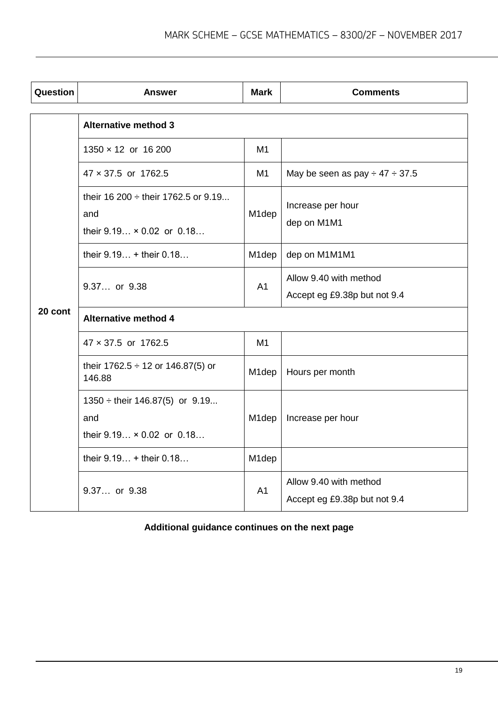| Question | <b>Answer</b>                                    | <b>Mark</b>        | <b>Comments</b>                                        |  |  |  |
|----------|--------------------------------------------------|--------------------|--------------------------------------------------------|--|--|--|
|          |                                                  |                    |                                                        |  |  |  |
|          | <b>Alternative method 3</b>                      |                    |                                                        |  |  |  |
|          | 1350 × 12 or 16 200                              | M1                 |                                                        |  |  |  |
|          | 47 × 37.5 or 1762.5                              | M1                 | May be seen as pay $\div$ 47 $\div$ 37.5               |  |  |  |
|          | their 16 200 $\div$ their 1762.5 or 9.19<br>and  | Increase per hour  |                                                        |  |  |  |
|          | their $9.19 \times 0.02$ or $0.18$               | M1dep              | dep on M1M1                                            |  |  |  |
|          | their $9.19$ + their $0.18$                      | M <sub>1</sub> dep | dep on M1M1M1                                          |  |  |  |
|          | 9.37 or 9.38                                     | A <sub>1</sub>     | Allow 9.40 with method                                 |  |  |  |
|          |                                                  |                    | Accept eg £9.38p but not 9.4                           |  |  |  |
| 20 cont  | <b>Alternative method 4</b>                      |                    |                                                        |  |  |  |
|          | 47 × 37.5 or 1762.5                              | M <sub>1</sub>     |                                                        |  |  |  |
|          | their 1762.5 $\div$ 12 or 146.87(5) or<br>146.88 | M <sub>1</sub> dep | Hours per month                                        |  |  |  |
|          | $1350 \div$ their 146.87(5) or 9.19              |                    |                                                        |  |  |  |
|          | and                                              | M <sub>1</sub> dep | Increase per hour                                      |  |  |  |
|          | their $9.19 \times 0.02$ or $0.18$               |                    |                                                        |  |  |  |
|          | their $9.19$ + their $0.18$                      | M1dep              |                                                        |  |  |  |
|          | 9.37 or 9.38                                     | A <sub>1</sub>     | Allow 9.40 with method<br>Accept eg £9.38p but not 9.4 |  |  |  |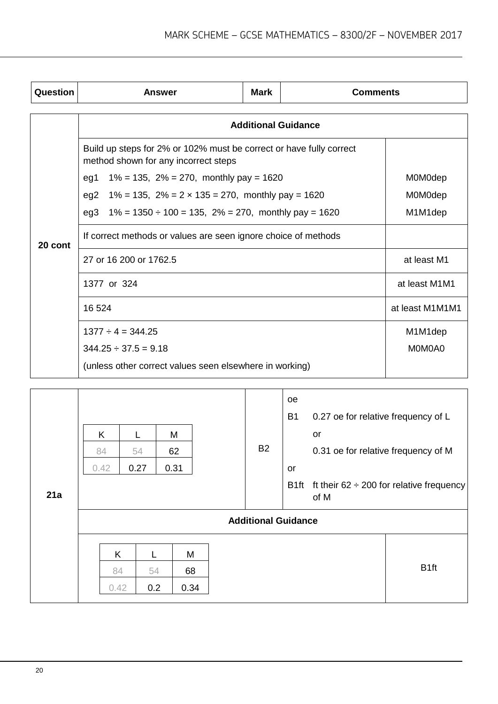| Question | <b>Answer</b>                                                                                               | <b>Mark</b>   | <b>Comments</b> |                 |  |  |  |  |  |
|----------|-------------------------------------------------------------------------------------------------------------|---------------|-----------------|-----------------|--|--|--|--|--|
|          | <b>Additional Guidance</b>                                                                                  |               |                 |                 |  |  |  |  |  |
|          | Build up steps for 2% or 102% must be correct or have fully correct<br>method shown for any incorrect steps |               |                 |                 |  |  |  |  |  |
|          | $1\% = 135$ , $2\% = 270$ , monthly pay = 1620<br>eg1                                                       |               |                 | M0M0dep         |  |  |  |  |  |
|          | $1\% = 135$ , $2\% = 2 \times 135 = 270$ , monthly pay = 1620<br>eg2                                        |               |                 | M0M0dep         |  |  |  |  |  |
|          | $1\% = 1350 \div 100 = 135$ , $2\% = 270$ , monthly pay = 1620<br>eg3                                       | M1M1dep       |                 |                 |  |  |  |  |  |
| 20 cont  | If correct methods or values are seen ignore choice of methods                                              |               |                 |                 |  |  |  |  |  |
|          | 27 or 16 200 or 1762.5                                                                                      | at least M1   |                 |                 |  |  |  |  |  |
|          | 1377 or 324                                                                                                 | at least M1M1 |                 |                 |  |  |  |  |  |
|          | 16 524                                                                                                      |               |                 | at least M1M1M1 |  |  |  |  |  |
|          | $1377 \div 4 = 344.25$                                                                                      |               |                 | M1M1dep         |  |  |  |  |  |
|          | $344.25 \div 37.5 = 9.18$                                                                                   |               |                 | M0M0A0          |  |  |  |  |  |
|          | (unless other correct values seen elsewhere in working)                                                     |               |                 |                 |  |  |  |  |  |

| 21a | K<br>M<br>L<br>62<br>84<br>54<br>0.31<br>0.42<br>0.27 |  |                | <b>B2</b>  | oe<br><b>B1</b><br><b>or</b><br>B <sub>1ft</sub> | 0.27 oe for relative frequency of L<br>or<br>0.31 oe for relative frequency of M | ft their $62 \div 200$ for relative frequency |                  |
|-----|-------------------------------------------------------|--|----------------|------------|--------------------------------------------------|----------------------------------------------------------------------------------|-----------------------------------------------|------------------|
|     |                                                       |  |                |            | <b>Additional Guidance</b>                       |                                                                                  | of M                                          |                  |
|     | K<br>84<br>0.42                                       |  | M<br>54<br>0.2 | 68<br>0.34 |                                                  |                                                                                  |                                               | B <sub>1ft</sub> |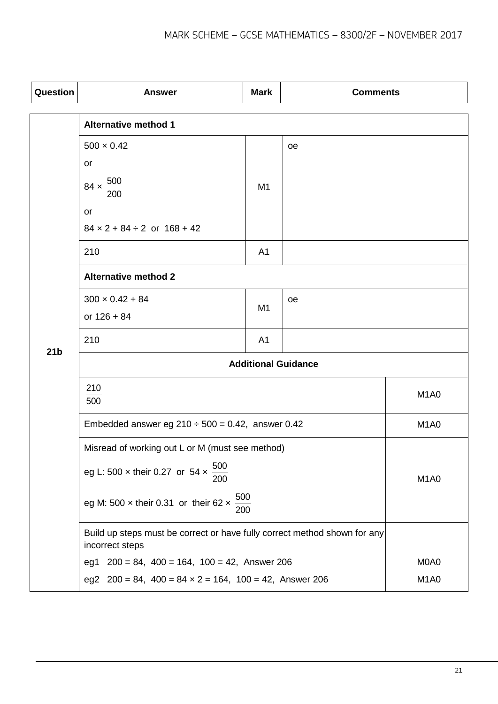| Question        | <b>Answer</b>                                                                                | <b>Mark</b>                   | <b>Comments</b> |                               |  |  |
|-----------------|----------------------------------------------------------------------------------------------|-------------------------------|-----------------|-------------------------------|--|--|
|                 | <b>Alternative method 1</b>                                                                  |                               |                 |                               |  |  |
|                 | $500 \times 0.42$                                                                            |                               |                 |                               |  |  |
|                 | or                                                                                           |                               |                 |                               |  |  |
|                 | $84 \times \frac{500}{ }$<br>200                                                             | M <sub>1</sub>                |                 |                               |  |  |
|                 | or                                                                                           |                               |                 |                               |  |  |
|                 | $84 \times 2 + 84 \div 2$ or $168 + 42$                                                      |                               |                 |                               |  |  |
|                 | 210                                                                                          | A <sub>1</sub>                |                 |                               |  |  |
|                 | <b>Alternative method 2</b>                                                                  |                               |                 |                               |  |  |
|                 | $300 \times 0.42 + 84$                                                                       | M <sub>1</sub>                | oe              |                               |  |  |
|                 | or $126 + 84$                                                                                |                               |                 |                               |  |  |
| 21 <sub>b</sub> | 210                                                                                          |                               |                 |                               |  |  |
|                 | <b>Additional Guidance</b>                                                                   |                               |                 |                               |  |  |
|                 | 210                                                                                          | M <sub>1</sub> A <sub>0</sub> |                 |                               |  |  |
|                 | 500                                                                                          |                               |                 |                               |  |  |
|                 | Embedded answer eg $210 \div 500 = 0.42$ , answer 0.42                                       |                               |                 | M <sub>1</sub> A <sub>0</sub> |  |  |
|                 | Misread of working out L or M (must see method)                                              |                               |                 |                               |  |  |
|                 | 500<br>eg L: 500 $\times$ their 0.27 or 54 $\times$<br>200                                   | M <sub>1</sub> A <sub>0</sub> |                 |                               |  |  |
|                 | $\frac{500}{ }$<br>eg M: 500 $\times$ their 0.31 or their 62 $\times$<br>200                 |                               |                 |                               |  |  |
|                 | Build up steps must be correct or have fully correct method shown for any<br>incorrect steps |                               |                 |                               |  |  |
|                 | $200 = 84$ , $400 = 164$ , $100 = 42$ , Answer 206<br>eg1                                    |                               |                 | M0A0                          |  |  |
|                 | eg2 $200 = 84$ , $400 = 84 \times 2 = 164$ , $100 = 42$ , Answer 206                         | M <sub>1</sub> A <sub>0</sub> |                 |                               |  |  |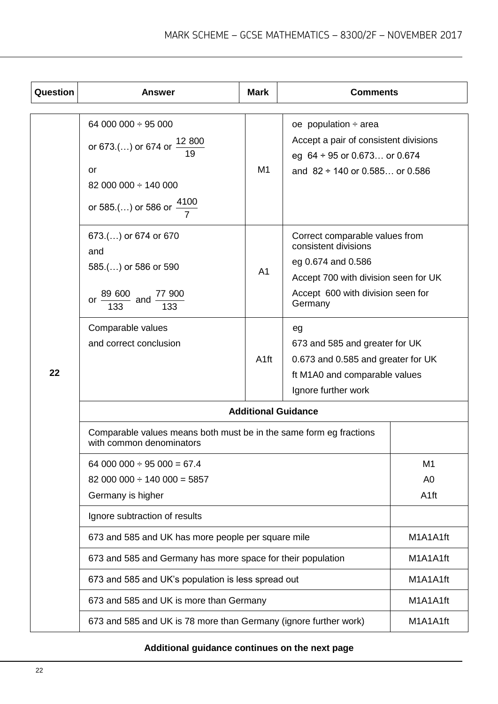| Question | Answer                                                                                                                                     | <b>Mark</b>                                                                                                       | <b>Comments</b>                                                                                                                                                      |          |  |  |
|----------|--------------------------------------------------------------------------------------------------------------------------------------------|-------------------------------------------------------------------------------------------------------------------|----------------------------------------------------------------------------------------------------------------------------------------------------------------------|----------|--|--|
| 22       | 64 000 000 $\div$ 95 000<br>or 673.() or 674 or $\frac{12\,800}{19}$<br>or<br>82 000 000 ÷ 140 000<br>or 585.() or 586 or $\frac{4100}{7}$ | Accept a pair of consistent divisions<br>eg $64 \div 95$ or 0.673 or 0.674<br>and $82 \div 140$ or 0.585 or 0.586 |                                                                                                                                                                      |          |  |  |
|          | 673.() or 674 or 670<br>and<br>585.() or 586 or 590<br>or $\frac{89600}{133}$ and $\frac{77900}{133}$                                      | A <sub>1</sub>                                                                                                    | Correct comparable values from<br>consistent divisions<br>eg 0.674 and 0.586<br>Accept 700 with division seen for UK<br>Accept 600 with division seen for<br>Germany |          |  |  |
|          | Comparable values<br>and correct conclusion                                                                                                | 673 and 585 and greater for UK<br>0.673 and 0.585 and greater for UK<br>ft M1A0 and comparable values             |                                                                                                                                                                      |          |  |  |
|          | <b>Additional Guidance</b>                                                                                                                 |                                                                                                                   |                                                                                                                                                                      |          |  |  |
|          | Comparable values means both must be in the same form eg fractions<br>with common denominators                                             |                                                                                                                   |                                                                                                                                                                      |          |  |  |
|          | $64000000 \div 95000 = 67.4$<br>$82000000 \div 140000 = 5857$<br>Germany is higher                                                         | M <sub>1</sub><br>A <sub>0</sub><br>A <sub>1ft</sub>                                                              |                                                                                                                                                                      |          |  |  |
|          | Ignore subtraction of results                                                                                                              |                                                                                                                   |                                                                                                                                                                      |          |  |  |
|          | 673 and 585 and UK has more people per square mile                                                                                         |                                                                                                                   |                                                                                                                                                                      | M1A1A1ft |  |  |
|          | 673 and 585 and Germany has more space for their population                                                                                | M1A1A1ft                                                                                                          |                                                                                                                                                                      |          |  |  |
|          | 673 and 585 and UK's population is less spread out                                                                                         |                                                                                                                   |                                                                                                                                                                      | M1A1A1ft |  |  |
|          | 673 and 585 and UK is more than Germany                                                                                                    |                                                                                                                   |                                                                                                                                                                      | M1A1A1ft |  |  |
|          | 673 and 585 and UK is 78 more than Germany (ignore further work)                                                                           |                                                                                                                   |                                                                                                                                                                      | M1A1A1ft |  |  |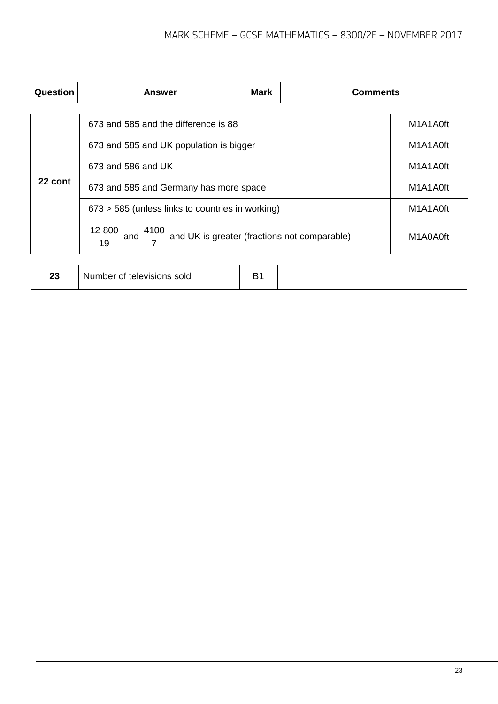| Question | <b>Answer</b>                                                                          | <b>Mark</b> | <b>Comments</b> |          |
|----------|----------------------------------------------------------------------------------------|-------------|-----------------|----------|
|          |                                                                                        |             |                 |          |
|          | 673 and 585 and the difference is 88                                                   |             |                 | M1A1A0ft |
|          | 673 and 585 and UK population is bigger                                                | M1A1A0ft    |                 |          |
|          | 673 and 586 and UK                                                                     | M1A1A0ft    |                 |          |
| 22 cont  | 673 and 585 and Germany has more space                                                 | M1A1A0ft    |                 |          |
|          | 673 > 585 (unless links to countries in working)                                       | M1A1A0ft    |                 |          |
|          | $\frac{12\,800}{19}$ and $\frac{4100}{7}$ and UK is greater (fractions not comparable) |             |                 | M1A0A0ft |
|          |                                                                                        |             |                 |          |

| ົດດ<br>∠J | sold<br>f of televisions.<br>Number | -<br>پ |  |
|-----------|-------------------------------------|--------|--|
|-----------|-------------------------------------|--------|--|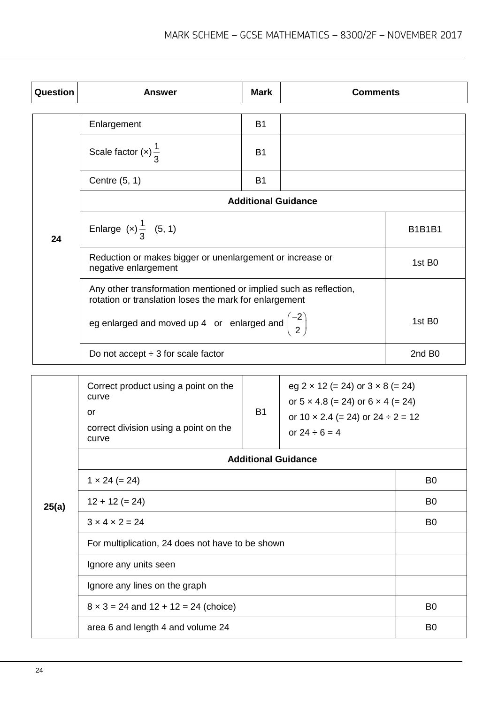| Question | <b>Answer</b>                                                                                                               | <b>Mark</b>                | <b>Comments</b>    |                    |
|----------|-----------------------------------------------------------------------------------------------------------------------------|----------------------------|--------------------|--------------------|
|          | Enlargement                                                                                                                 | B1                         |                    |                    |
|          | Scale factor $(x) \frac{1}{3}$                                                                                              | <b>B1</b>                  |                    |                    |
|          | Centre (5, 1)                                                                                                               | <b>B1</b>                  |                    |                    |
|          |                                                                                                                             | <b>Additional Guidance</b> |                    |                    |
| 24       | Enlarge (x) $\frac{1}{3}$ (5, 1)<br><b>B1B1B1</b>                                                                           |                            |                    |                    |
|          | Reduction or makes bigger or unenlargement or increase or<br>negative enlargement                                           |                            | 1st B <sub>0</sub> |                    |
|          | Any other transformation mentioned or implied such as reflection,<br>rotation or translation loses the mark for enlargement |                            |                    |                    |
|          | eg enlarged and moved up 4 or enlarged and $\begin{pmatrix} -2 \\ 2 \end{pmatrix}$<br>1st B <sub>0</sub>                    |                            |                    |                    |
|          | Do not accept $\div$ 3 for scale factor                                                                                     |                            |                    | 2nd B <sub>0</sub> |

| or<br>or $10 \times 2.4$ (= 24) or $24 \div 2 = 12$<br>correct division using a point on the<br>or $24 \div 6 = 4$<br>curve | Correct product using a point on the<br>curve | <b>B1</b> | eg $2 \times 12 (= 24)$ or $3 \times 8 (= 24)$<br>or $5 \times 4.8 (= 24)$ or $6 \times 4 (= 24)$ |  |
|-----------------------------------------------------------------------------------------------------------------------------|-----------------------------------------------|-----------|---------------------------------------------------------------------------------------------------|--|
|-----------------------------------------------------------------------------------------------------------------------------|-----------------------------------------------|-----------|---------------------------------------------------------------------------------------------------|--|

|       | <b>Additional Guidance</b>                       |                |  |  |  |  |
|-------|--------------------------------------------------|----------------|--|--|--|--|
|       | $1 \times 24 (= 24)$                             | B <sub>0</sub> |  |  |  |  |
| 25(a) | $12 + 12 (= 24)$                                 | B <sub>0</sub> |  |  |  |  |
|       | $3 \times 4 \times 2 = 24$                       | B <sub>0</sub> |  |  |  |  |
|       | For multiplication, 24 does not have to be shown |                |  |  |  |  |
|       | Ignore any units seen                            |                |  |  |  |  |
|       | Ignore any lines on the graph                    |                |  |  |  |  |
|       | $8 \times 3 = 24$ and $12 + 12 = 24$ (choice)    | B <sub>0</sub> |  |  |  |  |
|       | area 6 and length 4 and volume 24                | B <sub>0</sub> |  |  |  |  |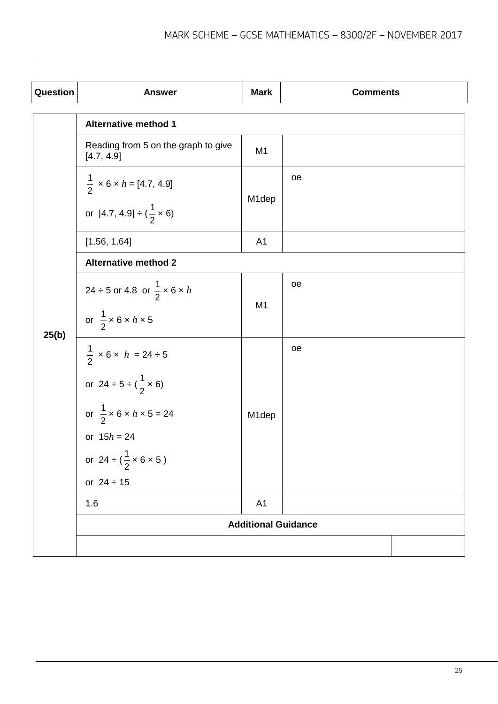| Question | <b>Answer</b>                                     | <b>Mark</b>                | <b>Comments</b> |
|----------|---------------------------------------------------|----------------------------|-----------------|
|          | <b>Alternative method 1</b>                       |                            |                 |
|          | Reading from 5 on the graph to give<br>[4.7, 4.9] | M <sub>1</sub>             |                 |
|          | $\frac{1}{2} \times 6 \times h = [4.7, 4.9]$      |                            | oe              |
|          | or [4.7, 4.9] $\div$ ( $\frac{1}{2} \times 6$ )   | M <sub>1</sub> dep         |                 |
|          | [1.56, 1.64]                                      | A <sub>1</sub>             |                 |
|          | <b>Alternative method 2</b>                       |                            |                 |
|          | 24 ÷ 5 or 4.8 or $\frac{1}{2} \times 6 \times h$  |                            | oe              |
| 25(b)    | or $\frac{1}{2} \times 6 \times h \times 5$       | M <sub>1</sub>             |                 |
|          | $\frac{1}{2} \times 6 \times h = 24 \div 5$       |                            | oe              |
|          | or $24 \div 5 \div (\frac{1}{2} \times 6)$        |                            |                 |
|          | or $\frac{1}{2} \times 6 \times h \times 5 = 24$  | M <sub>1</sub> dep         |                 |
|          | or $15h = 24$                                     |                            |                 |
|          | or 24 ÷ ( $\frac{1}{2}$ × 6 × 5)                  |                            |                 |
|          | or $24 \div 15$                                   |                            |                 |
|          | 1.6                                               | A <sub>1</sub>             |                 |
|          |                                                   | <b>Additional Guidance</b> |                 |
|          |                                                   |                            |                 |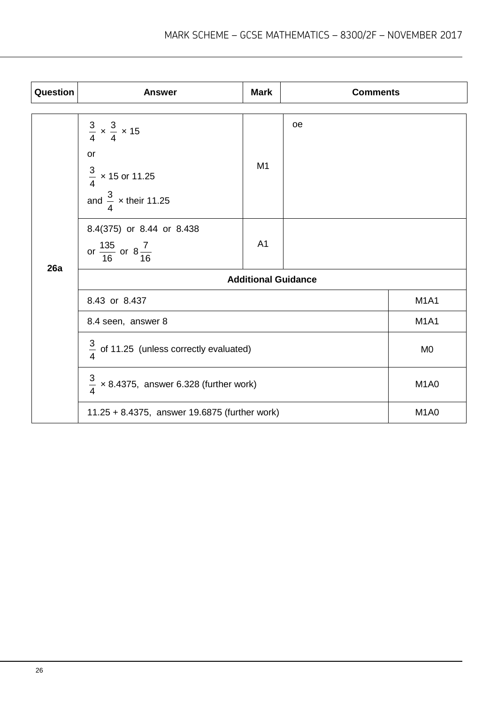| Question | <b>Answer</b>                                                                                                      | <b>Mark</b>    | <b>Comments</b> |                               |  |
|----------|--------------------------------------------------------------------------------------------------------------------|----------------|-----------------|-------------------------------|--|
|          | $\frac{3}{4} \times \frac{3}{4} \times 15$<br>or<br>$\frac{3}{4}$ × 15 or 11.25<br>and $\frac{3}{4}$ x their 11.25 | M <sub>1</sub> | <b>oe</b>       |                               |  |
| 26a      | 8.4(375) or 8.44 or 8.438<br>or $\frac{135}{16}$ or $8\frac{7}{16}$                                                | A <sub>1</sub> |                 |                               |  |
|          | <b>Additional Guidance</b>                                                                                         |                |                 |                               |  |
|          | 8.43 or 8.437                                                                                                      |                |                 | <b>M1A1</b>                   |  |
|          | 8.4 seen, answer 8                                                                                                 |                |                 | <b>M1A1</b>                   |  |
|          | $\frac{3}{4}$ of 11.25 (unless correctly evaluated)                                                                | M <sub>0</sub> |                 |                               |  |
|          | $\frac{3}{4}$ × 8.4375, answer 6.328 (further work)                                                                |                |                 | M <sub>1</sub> A <sub>0</sub> |  |
|          | 11.25 + 8.4375, answer 19.6875 (further work)                                                                      |                |                 | M <sub>1</sub> A <sub>0</sub> |  |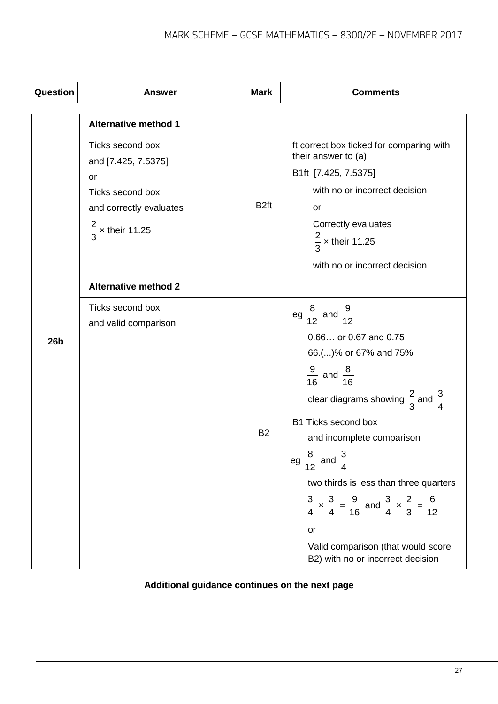| Question   | <b>Answer</b>                                                                                                               | <b>Mark</b>      | <b>Comments</b>                                                                                                                                                                                                                                                                                                                                                                                                                                                                                                         |  |  |
|------------|-----------------------------------------------------------------------------------------------------------------------------|------------------|-------------------------------------------------------------------------------------------------------------------------------------------------------------------------------------------------------------------------------------------------------------------------------------------------------------------------------------------------------------------------------------------------------------------------------------------------------------------------------------------------------------------------|--|--|
|            | <b>Alternative method 1</b>                                                                                                 |                  |                                                                                                                                                                                                                                                                                                                                                                                                                                                                                                                         |  |  |
|            | Ticks second box<br>and [7.425, 7.5375]<br>or<br>Ticks second box<br>and correctly evaluates<br>$\frac{2}{3}$ x their 11.25 | B <sub>2ft</sub> | ft correct box ticked for comparing with<br>their answer to (a)<br>B1ft [7.425, 7.5375]<br>with no or incorrect decision<br>or<br>Correctly evaluates<br>$\frac{2}{3}$ x their 11.25                                                                                                                                                                                                                                                                                                                                    |  |  |
|            | with no or incorrect decision<br><b>Alternative method 2</b>                                                                |                  |                                                                                                                                                                                                                                                                                                                                                                                                                                                                                                                         |  |  |
| <b>26b</b> | Ticks second box<br>and valid comparison                                                                                    | <b>B2</b>        | eg $\frac{8}{12}$ and $\frac{9}{12}$<br>0.66 or 0.67 and 0.75<br>66.()% or 67% and 75%<br>$\frac{9}{16}$ and $\frac{8}{16}$<br>clear diagrams showing $\frac{2}{3}$ and $\frac{3}{4}$<br>B1 Ticks second box<br>and incomplete comparison<br>eg $\frac{8}{12}$ and $\frac{3}{4}$<br>વ<br>two thirds is less than three quarters<br>$\frac{3}{4} \times \frac{3}{4} = \frac{9}{16}$ and $\frac{3}{4} \times \frac{2}{3} = \frac{6}{12}$<br>or<br>Valid comparison (that would score<br>B2) with no or incorrect decision |  |  |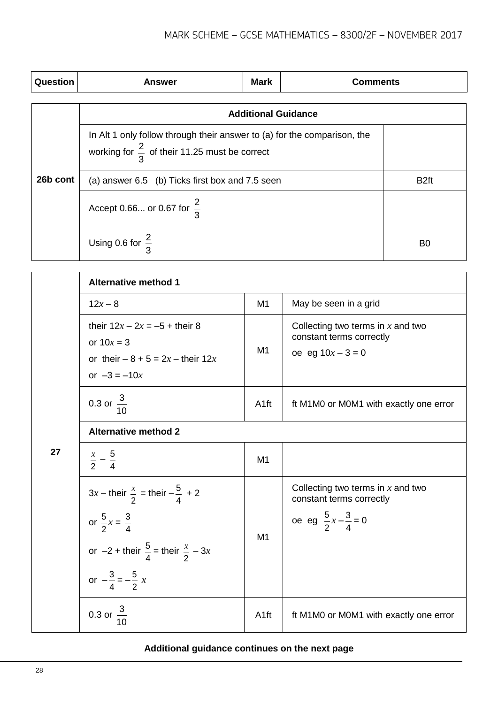| Question | <b>Answer</b>                                                                                                                        | <b>Mark</b>                | <b>Comments</b> |                  |  |  |  |
|----------|--------------------------------------------------------------------------------------------------------------------------------------|----------------------------|-----------------|------------------|--|--|--|
|          |                                                                                                                                      | <b>Additional Guidance</b> |                 |                  |  |  |  |
| 26b cont | In Alt 1 only follow through their answer to (a) for the comparison, the<br>working for $\frac{2}{3}$ of their 11.25 must be correct |                            |                 |                  |  |  |  |
|          | (a) answer 6.5 (b) Ticks first box and 7.5 seen                                                                                      |                            |                 | B <sub>2ft</sub> |  |  |  |
|          | Accept 0.66 or 0.67 for $\frac{2}{3}$                                                                                                |                            |                 |                  |  |  |  |
|          | Using 0.6 for $\frac{2}{3}$                                                                                                          |                            |                 | B <sub>0</sub>   |  |  |  |

|    | <b>Alternative method 1</b>                                                                                                                                                               |                  |                                                                                                           |
|----|-------------------------------------------------------------------------------------------------------------------------------------------------------------------------------------------|------------------|-----------------------------------------------------------------------------------------------------------|
|    | $12x - 8$                                                                                                                                                                                 | M1               | May be seen in a grid                                                                                     |
| 27 | their $12x - 2x = -5 +$ their 8<br>or $10x = 3$<br>or their $-8 + 5 = 2x -$ their 12x<br>or $-3 = -10x$                                                                                   | M <sub>1</sub>   | Collecting two terms in $x$ and two<br>constant terms correctly<br>oe eg $10x - 3 = 0$                    |
|    | 0.3 or $\frac{3}{10}$                                                                                                                                                                     | A <sub>1ft</sub> | ft M1M0 or M0M1 with exactly one error                                                                    |
|    | <b>Alternative method 2</b>                                                                                                                                                               |                  |                                                                                                           |
|    | $\frac{x}{2} - \frac{5}{4}$                                                                                                                                                               | M1               |                                                                                                           |
|    | $3x$ – their $\frac{x}{2}$ = their $-\frac{5}{4}$ + 2<br>or $\frac{5}{2}x = \frac{3}{4}$<br>or $-2$ + their $\frac{5}{4}$ = their $\frac{x}{2}$ – 3x<br>or $-\frac{3}{4} = -\frac{5}{2}x$ | M1               | Collecting two terms in $x$ and two<br>constant terms correctly<br>oe eg $\frac{5}{2}x - \frac{3}{4} = 0$ |
|    | 0.3 or $\frac{3}{10}$                                                                                                                                                                     | A <sub>1ft</sub> | ft M1M0 or M0M1 with exactly one error                                                                    |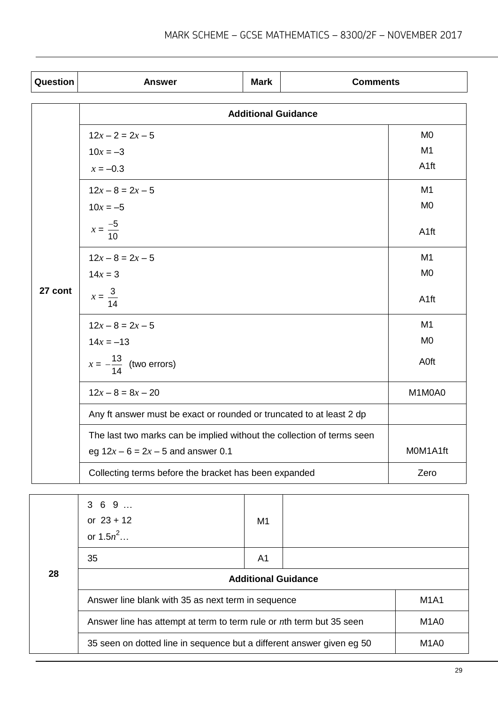| Question | <b>Answer</b>                                                                                                  | <b>Mark</b>                | <b>Comments</b> |                                          |  |  |
|----------|----------------------------------------------------------------------------------------------------------------|----------------------------|-----------------|------------------------------------------|--|--|
|          |                                                                                                                | <b>Additional Guidance</b> |                 |                                          |  |  |
|          | $12x - 2 = 2x - 5$<br>$10x = -3$<br>$x = -0.3$                                                                 |                            |                 | M <sub>0</sub><br>M1<br>A <sub>1ft</sub> |  |  |
|          | $12x - 8 = 2x - 5$<br>$10x = -5$<br>$x = \frac{-5}{10}$                                                        |                            |                 | M1<br>M <sub>0</sub><br>A <sub>1ft</sub> |  |  |
|          | $12x - 8 = 2x - 5$<br>$14x = 3$                                                                                |                            |                 | M1<br>M <sub>0</sub>                     |  |  |
| 27 cont  | $x = \frac{3}{14}$                                                                                             |                            |                 | A <sub>1ft</sub>                         |  |  |
|          | $12x - 8 = 2x - 5$<br>$14x = -13$                                                                              |                            |                 | M <sub>1</sub><br><b>MO</b>              |  |  |
|          | $x = -\frac{13}{14}$ (two errors)<br>$12x - 8 = 8x - 20$                                                       |                            |                 | A0ft<br>M1M0A0                           |  |  |
|          | Any ft answer must be exact or rounded or truncated to at least 2 dp                                           |                            |                 |                                          |  |  |
|          | The last two marks can be implied without the collection of terms seen<br>eg $12x - 6 = 2x - 5$ and answer 0.1 |                            |                 | MOM1A1ft                                 |  |  |
|          | Collecting terms before the bracket has been expanded                                                          |                            |                 | Zero                                     |  |  |

| 28 | 369<br>or $23 + 12$<br>or $1.5n^2$                                    | M1             |  |                               |  |
|----|-----------------------------------------------------------------------|----------------|--|-------------------------------|--|
|    | 35                                                                    | A <sub>1</sub> |  |                               |  |
|    | <b>Additional Guidance</b>                                            |                |  |                               |  |
|    | Answer line blank with 35 as next term in sequence                    |                |  | M1A1                          |  |
|    | Answer line has attempt at term to term rule or nth term but 35 seen  |                |  | M <sub>1</sub> A <sub>0</sub> |  |
|    | 35 seen on dotted line in sequence but a different answer given eg 50 |                |  | M <sub>1</sub> A <sub>0</sub> |  |